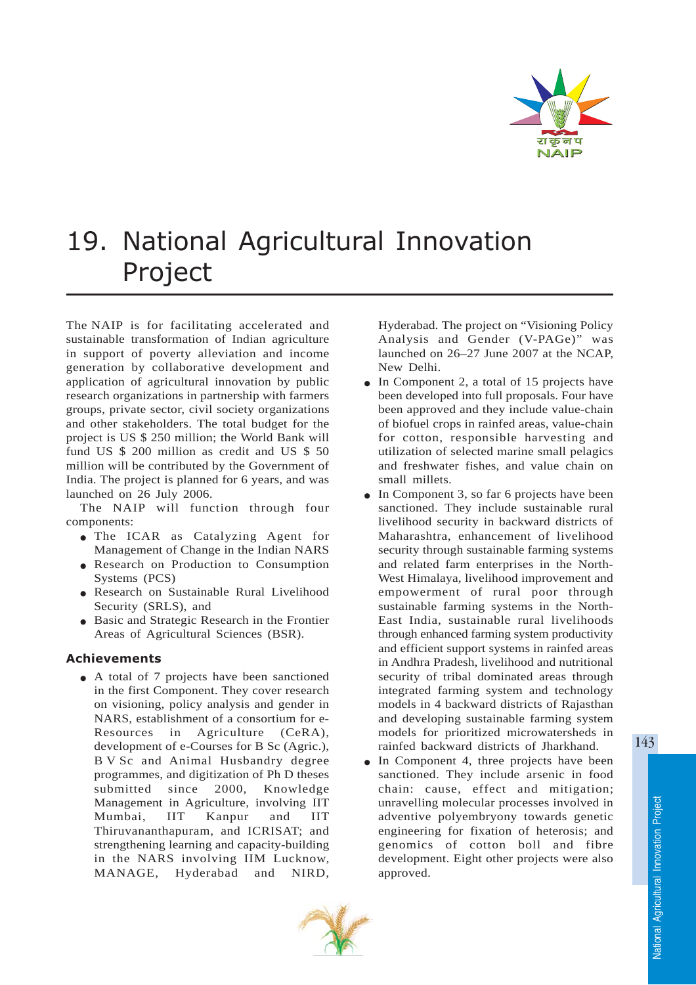

## 19. National Agricultural Innovation Project

The NAIP is for facilitating accelerated and sustainable transformation of Indian agriculture in support of poverty alleviation and income generation by collaborative development and application of agricultural innovation by public research organizations in partnership with farmers groups, private sector, civil society organizations and other stakeholders. The total budget for the project is US \$ 250 million; the World Bank will fund US \$ 200 million as credit and US \$ 50 million will be contributed by the Government of India. The project is planned for 6 years, and was launched on 26 July 2006.

The NAIP will function through four components:

- The ICAR as Catalyzing Agent for Management of Change in the Indian NARS
- Research on Production to Consumption Systems (PCS)
- Research on Sustainable Rural Livelihood Security (SRLS), and
- Basic and Strategic Research in the Frontier Areas of Agricultural Sciences (BSR).

## Achievements

• A total of 7 projects have been sanctioned in the first Component. They cover research on visioning, policy analysis and gender in NARS, establishment of a consortium for e-Resources in Agriculture (CeRA), development of e-Courses for B Sc (Agric.), B V Sc and Animal Husbandry degree programmes, and digitization of Ph D theses submitted since 2000, Knowledge Management in Agriculture, involving IIT Mumbai, IIT Kanpur and IIT Thiruvananthapuram, and ICRISAT; and strengthening learning and capacity-building in the NARS involving IIM Lucknow, MANAGE, Hyderabad and NIRD,

Hyderabad. The project on "Visioning Policy Analysis and Gender (V-PAGe)" was launched on 26–27 June 2007 at the NCAP, New Delhi.

- In Component 2, a total of 15 projects have been developed into full proposals. Four have been approved and they include value-chain of biofuel crops in rainfed areas, value-chain for cotton, responsible harvesting and utilization of selected marine small pelagics and freshwater fishes, and value chain on small millets.
- In Component 3, so far 6 projects have been sanctioned. They include sustainable rural livelihood security in backward districts of Maharashtra, enhancement of livelihood security through sustainable farming systems and related farm enterprises in the North-West Himalaya, livelihood improvement and empowerment of rural poor through sustainable farming systems in the North-East India, sustainable rural livelihoods through enhanced farming system productivity and efficient support systems in rainfed areas in Andhra Pradesh, livelihood and nutritional security of tribal dominated areas through integrated farming system and technology models in 4 backward districts of Rajasthan and developing sustainable farming system models for prioritized microwatersheds in rainfed backward districts of Jharkhand.
- In Component 4, three projects have been sanctioned. They include arsenic in food chain: cause, effect and mitigation; unravelling molecular processes involved in adventive polyembryony towards genetic engineering for fixation of heterosis; and genomics of cotton boll and fibre development. Eight other projects were also approved.



143